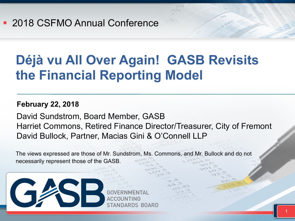### **Déjà vu All Over Again! GASB Revisits the Financial Reporting Model**

#### **February 22, 2018**

David Sundstrom, Board Member, GASB Harriet Commons, Retired Finance Director/Treasurer, City of Fremont David Bullock, Partner, Macias Gini & O'Connell LLP

The views expressed are those of Mr. Sundstrom, Ms. Commons, and Mr. Bullock and do not necessarily represent those of the GASB.



STANDARDS BOARD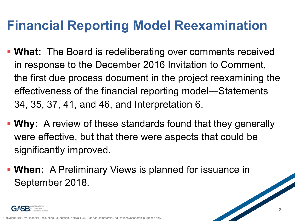### **Financial Reporting Model Reexamination**

- § **What:** The Board is redeliberating over comments received in response to the December 2016 Invitation to Comment, the first due process document in the project reexamining the effectiveness of the financial reporting model―Statements 34, 35, 37, 41, and 46, and Interpretation 6.
- § **Why:** A review of these standards found that they generally were effective, but that there were aspects that could be significantly improved.
- § **When:** A Preliminary Views is planned for issuance in September 2018.

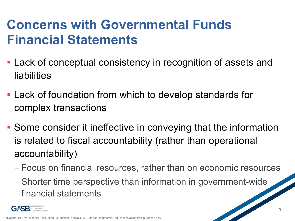### **Concerns with Governmental Funds Financial Statements**

- Lack of conceptual consistency in recognition of assets and liabilities
- Lack of foundation from which to develop standards for complex transactions
- Some consider it ineffective in conveying that the information is related to fiscal accountability (rather than operational accountability)
	- Focus on financial resources, rather than on economic resources
	- Shorter time perspective than information in government-wide financial statements

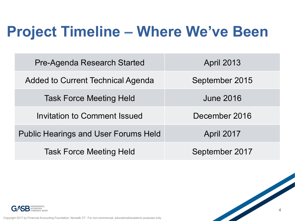# **Project Timeline – Where We've Been**

| <b>Pre-Agenda Research Started</b>          | <b>April 2013</b> |
|---------------------------------------------|-------------------|
| <b>Added to Current Technical Agenda</b>    | September 2015    |
| <b>Task Force Meeting Held</b>              | <b>June 2016</b>  |
| Invitation to Comment Issued                | December 2016     |
| <b>Public Hearings and User Forums Held</b> | April 2017        |
| <b>Task Force Meeting Held</b>              | September 2017    |

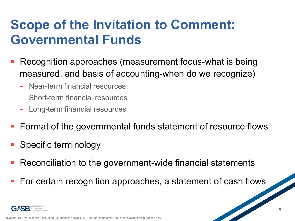### **Scope of the Invitation to Comment: Governmental Funds**

- § Recognition approaches (measurement focus-what is being measured, and basis of accounting-when do we recognize)
	- Near-term financial resources
	- Short-term financial resources
	- Long-term financial resources
- Format of the governmental funds statement of resource flows
- § Specific terminology
- Reconciliation to the government-wide financial statements
- For certain recognition approaches, a statement of cash flows

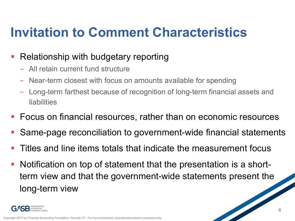### **Invitation to Comment Characteristics**

### § Relationship with budgetary reporting

- All retain current fund structure
- Near-term closest with focus on amounts available for spending
- Long-term farthest because of recognition of long-term financial assets and liabilities
- Focus on financial resources, rather than on economic resources
- § Same-page reconciliation to government-wide financial statements
- § Titles and line items totals that indicate the measurement focus
- Notification on top of statement that the presentation is a shortterm view and that the government-wide statements present the long-term view

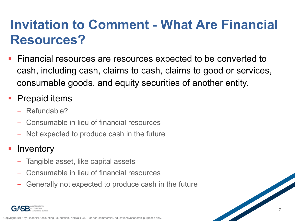### **Invitation to Comment - What Are Financial Resources?**

§ Financial resources are resources expected to be converted to cash, including cash, claims to cash, claims to good or services, consumable goods, and equity securities of another entity.

### ■ Prepaid items

- Refundable?
- Consumable in lieu of financial resources
- Not expected to produce cash in the future

### **• Inventory**

- Tangible asset, like capital assets
- Consumable in lieu of financial resources
- Generally not expected to produce cash in the future

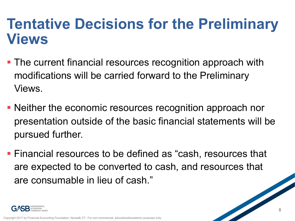- The current financial resources recognition approach with modifications will be carried forward to the Preliminary Views.
- Neither the economic resources recognition approach nor presentation outside of the basic financial statements will be pursued further.
- Financial resources to be defined as "cash, resources that are expected to be converted to cash, and resources that are consumable in lieu of cash."

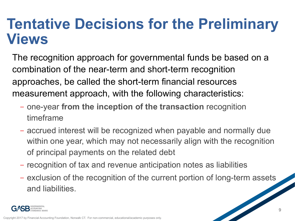The recognition approach for governmental funds be based on a combination of the near-term and short-term recognition approaches, be called the short-term financial resources measurement approach, with the following characteristics:

- one-year **from the inception of the transaction** recognition timeframe
- accrued interest will be recognized when payable and normally due within one year, which may not necessarily align with the recognition of principal payments on the related debt
- recognition of tax and revenue anticipation notes as liabilities
- exclusion of the recognition of the current portion of long-term assets and liabilities.

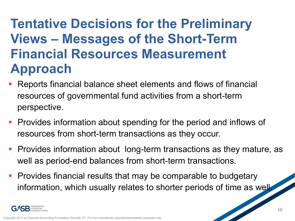### **Tentative Decisions for the Preliminary Views – Messages of the Short-Term Financial Resources Measurement Approach**

- § Reports financial balance sheet elements and flows of financial resources of governmental fund activities from a short-term perspective.
- **Provides information about spending for the period and inflows of** resources from short-term transactions as they occur.
- Provides information about long-term transactions as they mature, as well as period-end balances from short-term transactions.
- Provides financial results that may be comparable to budgetary information, which usually relates to shorter periods of time as well.

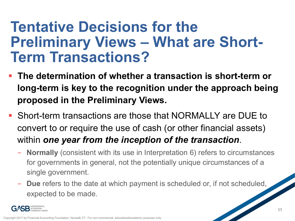### **Tentative Decisions for the Preliminary Views – What are Short-Term Transactions?**

- § **The determination of whether a transaction is short-term or long-term is key to the recognition under the approach being proposed in the Preliminary Views.**
- § Short-term transactions are those that NORMALLY are DUE to convert to or require the use of cash (or other financial assets) within *one year from the inception of the transaction*.
	- **Normally** (consistent with its use in Interpretation 6) refers to circumstances for governments in general, not the potentially unique circumstances of a single government.
	- **Due** refers to the date at which payment is scheduled or, if not scheduled, expected to be made.

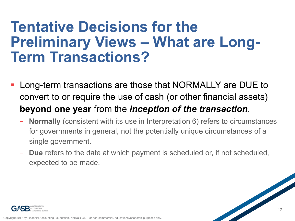### **Tentative Decisions for the Preliminary Views – What are Long-Term Transactions?**

- § Long-term transactions are those that NORMALLY are DUE to convert to or require the use of cash (or other financial assets) **beyond one year** from the *inception of the transaction*.
	- **Normally** (consistent with its use in Interpretation 6) refers to circumstances for governments in general, not the potentially unique circumstances of a single government.
	- **Due** refers to the date at which payment is scheduled or, if not scheduled, expected to be made.

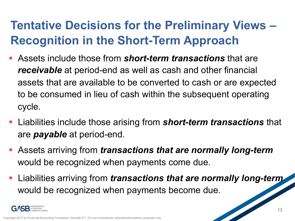### **Tentative Decisions for the Preliminary Views – Recognition in the Short-Term Approach**

- § Assets include those from *short-term transactions* that are *receivable* at period-end as well as cash and other financial assets that are available to be converted to cash or are expected to be consumed in lieu of cash within the subsequent operating cycle.
- § Liabilities include those arising from *short-term transactions* that are *payable* at period-end.
- § Assets arriving from *transactions that are normally long-term* would be recognized when payments come due.
- § Liabilities arriving from *transactions that are normally long-term*  would be recognized when payments become due.

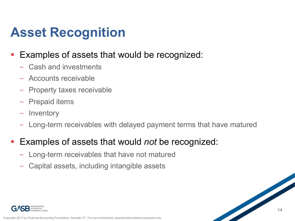### **Asset Recognition**

### ■ Examples of assets that would be recognized:

- Cash and investments
- Accounts receivable
- Property taxes receivable
- Prepaid items
- Inventory
- Long-term receivables with delayed payment terms that have matured

#### ■ Examples of assets that would *not* be recognized:

- Long-term receivables that have not matured
- Capital assets, including intangible assets

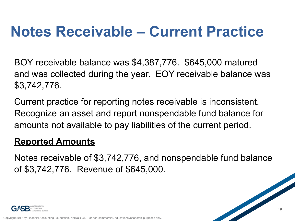## **Notes Receivable – Current Practice**

BOY receivable balance was \$4,387,776. \$645,000 matured and was collected during the year. EOY receivable balance was \$3,742,776.

Current practice for reporting notes receivable is inconsistent. Recognize an asset and report nonspendable fund balance for amounts not available to pay liabilities of the current period.

#### **Reported Amounts**

Notes receivable of \$3,742,776, and nonspendable fund balance of \$3,742,776. Revenue of \$645,000.

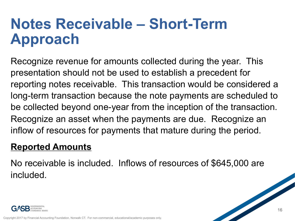## **Notes Receivable – Short-Term Approach**

Recognize revenue for amounts collected during the year. This presentation should not be used to establish a precedent for reporting notes receivable. This transaction would be considered a long-term transaction because the note payments are scheduled to be collected beyond one-year from the inception of the transaction. Recognize an asset when the payments are due. Recognize an inflow of resources for payments that mature during the period.

### **Reported Amounts**

No receivable is included. Inflows of resources of \$645,000 are included.

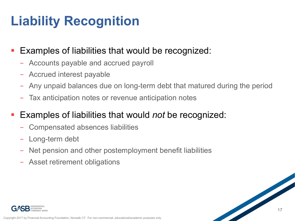## **Liability Recognition**

### Examples of liabilities that would be recognized:

- Accounts payable and accrued payroll
- Accrued interest payable
- Any unpaid balances due on long-term debt that matured during the period
- Tax anticipation notes or revenue anticipation notes

### § Examples of liabilities that would *not* be recognized:

- Compensated absences liabilities
- Long-term debt
- Net pension and other postemployment benefit liabilities
- Asset retirement obligations

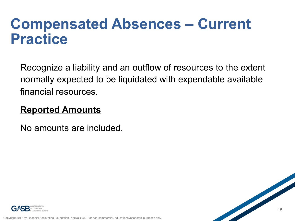### **Compensated Absences – Current Practice**

Recognize a liability and an outflow of resources to the extent normally expected to be liquidated with expendable available financial resources.

### **Reported Amounts**

No amounts are included.

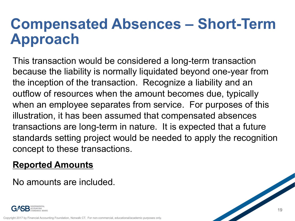## **Compensated Absences – Short-Term Approach**

This transaction would be considered a long-term transaction because the liability is normally liquidated beyond one-year from the inception of the transaction. Recognize a liability and an outflow of resources when the amount becomes due, typically when an employee separates from service. For purposes of this illustration, it has been assumed that compensated absences transactions are long-term in nature. It is expected that a future standards setting project would be needed to apply the recognition concept to these transactions.

### **Reported Amounts**

No amounts are included.

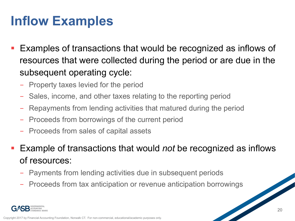### **Inflow Examples**

- Examples of transactions that would be recognized as inflows of resources that were collected during the period or are due in the subsequent operating cycle:
	- Property taxes levied for the period
	- Sales, income, and other taxes relating to the reporting period
	- Repayments from lending activities that matured during the period
	- Proceeds from borrowings of the current period
	- Proceeds from sales of capital assets
- Example of transactions that would *not* be recognized as inflows of resources:
	- Payments from lending activities due in subsequent periods
	- Proceeds from tax anticipation or revenue anticipation borrowings

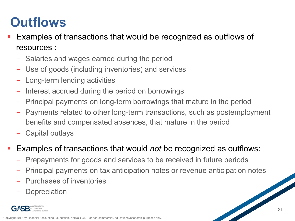### **Outflows**

- Examples of transactions that would be recognized as outflows of resources :
	- Salaries and wages earned during the period
	- Use of goods (including inventories) and services
	- Long-term lending activities
	- Interest accrued during the period on borrowings
	- Principal payments on long-term borrowings that mature in the period
	- Payments related to other long-term transactions, such as postemployment benefits and compensated absences, that mature in the period
	- Capital outlays
- Examples of transactions that would *not* be recognized as outflows:
	- Prepayments for goods and services to be received in future periods
	- Principal payments on tax anticipation notes or revenue anticipation notes
	- Purchases of inventories
	- **Depreciation**

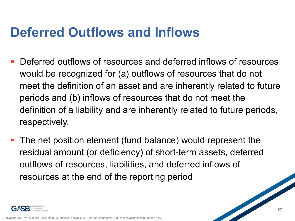### **Deferred Outflows and Inflows**

- § Deferred outflows of resources and deferred inflows of resources would be recognized for (a) outflows of resources that do not meet the definition of an asset and are inherently related to future periods and (b) inflows of resources that do not meet the definition of a liability and are inherently related to future periods, respectively.
- The net position element (fund balance) would represent the residual amount (or deficiency) of short-term assets, deferred outflows of resources, liabilities, and deferred inflows of resources at the end of the reporting period

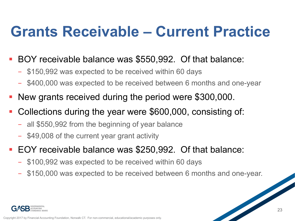## **Grants Receivable – Current Practice**

- § BOY receivable balance was \$550,992. Of that balance:
	- \$150,992 was expected to be received within 60 days
	- \$400,000 was expected to be received between 6 months and one-year
- § New grants received during the period were \$300,000.
- Collections during the year were \$600,000, consisting of:
	- all \$550,992 from the beginning of year balance
	- \$49,008 of the current year grant activity
- EOY receivable balance was \$250,992. Of that balance:
	- \$100,992 was expected to be received within 60 days
	- \$150,000 was expected to be received between 6 months and one-year.

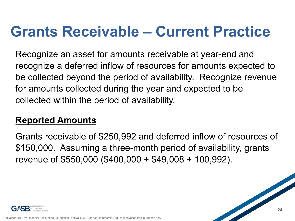## **Grants Receivable – Current Practice**

Recognize an asset for amounts receivable at year-end and recognize a deferred inflow of resources for amounts expected to be collected beyond the period of availability. Recognize revenue for amounts collected during the year and expected to be collected within the period of availability.

### **Reported Amounts**

Grants receivable of \$250,992 and deferred inflow of resources of \$150,000. Assuming a three-month period of availability, grants revenue of \$550,000 (\$400,000 + \$49,008 + 100,992).

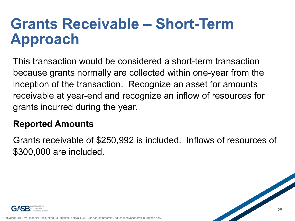## **Grants Receivable – Short-Term Approach**

This transaction would be considered a short-term transaction because grants normally are collected within one-year from the inception of the transaction. Recognize an asset for amounts receivable at year-end and recognize an inflow of resources for grants incurred during the year.

### **Reported Amounts**

Grants receivable of \$250,992 is included. Inflows of resources of \$300,000 are included.

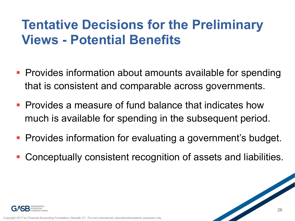### **Tentative Decisions for the Preliminary Views - Potential Benefits**

- Provides information about amounts available for spending that is consistent and comparable across governments.
- **Provides a measure of fund balance that indicates how** much is available for spending in the subsequent period.
- Provides information for evaluating a government's budget.
- § Conceptually consistent recognition of assets and liabilities.

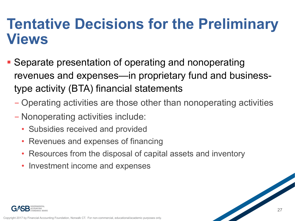- Separate presentation of operating and nonoperating revenues and expenses—in proprietary fund and businesstype activity (BTA) financial statements
	- Operating activities are those other than nonoperating activities
	- Nonoperating activities include:
		- Subsidies received and provided
		- Revenues and expenses of financing
		- Resources from the disposal of capital assets and inventory
		- Investment income and expenses

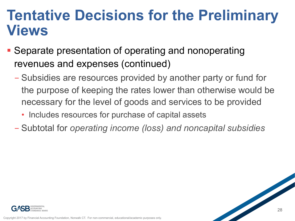- Separate presentation of operating and nonoperating revenues and expenses (continued)
	- Subsidies are resources provided by another party or fund for the purpose of keeping the rates lower than otherwise would be necessary for the level of goods and services to be provided
		- Includes resources for purchase of capital assets
	- Subtotal for *operating income (loss) and noncapital subsidies*

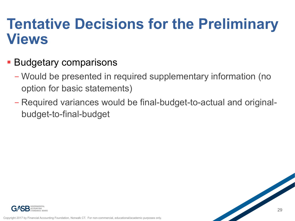- Budgetary comparisons
	- Would be presented in required supplementary information (no option for basic statements)
	- Required variances would be final-budget-to-actual and originalbudget-to-final-budget

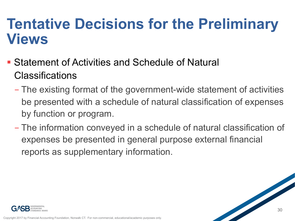- **Statement of Activities and Schedule of Natural Classifications** 
	- The existing format of the government-wide statement of activities be presented with a schedule of natural classification of expenses by function or program.
	- The information conveyed in a schedule of natural classification of expenses be presented in general purpose external financial reports as supplementary information.

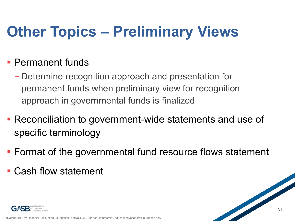# **Other Topics – Preliminary Views**

### § Permanent funds

- Determine recognition approach and presentation for permanent funds when preliminary view for recognition approach in governmental funds is finalized
- Reconciliation to government-wide statements and use of specific terminology
- Format of the governmental fund resource flows statement
- § Cash flow statement

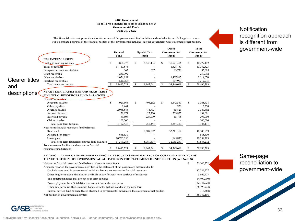#### **ABC Government Near-Term Financial Resources Balance Sheet June 30, 20XX Governmental Funds**<br> **Governmental Funds**<br> **Surge 30 20XX**

This financial statement presents a short-term view of the governmental fund activities and excludes items of a long-term nature. For a complete portrayal of the financial position of the governmental activities, see the government-wide statement of net position.

|                       |                                                                                                                  |   | General<br>Fund |    | <b>Special Tax</b><br>Fund |    | Other<br>Governmental<br><b>Funds</b> |    | <b>Total</b><br><b>Governmental</b><br><b>Funds</b> |  |
|-----------------------|------------------------------------------------------------------------------------------------------------------|---|-----------------|----|----------------------------|----|---------------------------------------|----|-----------------------------------------------------|--|
|                       | <b>NEAR-TERM ASSETS</b>                                                                                          |   |                 |    |                            |    |                                       |    |                                                     |  |
|                       | <b>Sash</b> and cash equivalents                                                                                 | S | 861,272         | S  | 8,846,434                  | S  | 30,571,406                            | S  | 40,279,112                                          |  |
|                       | Taxes receivable                                                                                                 |   | 11,713,873      |    |                            |    | 1,628,750                             |    | 13,342,623                                          |  |
|                       | Intergovernmental receivables                                                                                    |   | 662             |    | 607                        |    | 83,736                                |    | 85,005                                              |  |
|                       | Grant receivable                                                                                                 |   | 250.992         |    |                            |    |                                       |    | 250,992                                             |  |
|                       | Other receivables                                                                                                |   | 2,056,859       |    |                            |    | 1,457,817                             |    | 3,514,676                                           |  |
| <b>Clearer titles</b> | Interfund receivables                                                                                            |   | 610,066         |    |                            |    | 607,909                               |    | 1,217,975                                           |  |
| and                   | Total near-term assets                                                                                           | S | 15,493,724      | \$ | 8,847,041                  | \$ | 34,349,618                            | S  | 58,690,383                                          |  |
| descriptions          | <b>NEAR-TERM LIABILITIES AND NEAR-TERM</b><br><b>FINANCIAL RESOURCES FUND BALANCES</b><br>Near-term liabilities: |   |                 |    |                            |    |                                       |    |                                                     |  |
|                       | Accounts payable                                                                                                 | S | 929.666         | S  | 493,212                    | S  | 1,642,560                             | S. | 3,065,438                                           |  |
|                       | Other payables                                                                                                   |   | 2,444           |    |                            |    | 926                                   |    | 3,370                                               |  |
|                       | Accrued payroll                                                                                                  |   | 2,966,848       |    | 14,733                     |    | 65,821                                |    | 3,047,402                                           |  |
|                       | Accrued interest                                                                                                 |   | 51,874          |    | 22,300                     |    | 559,827                               |    | 634,001                                             |  |
|                       | Interfund payable                                                                                                |   | 51,606          |    | 227,099                    |    | 15,195                                |    | 293,900                                             |  |
|                       | Claims payable                                                                                                   |   | 100,000         |    |                            |    |                                       |    | 100,000                                             |  |
|                       | Total near-term liabilities                                                                                      |   | 4,102,438       |    | 757,344                    |    | 2,284,329                             |    | 7,144,111                                           |  |
|                       | Near-term financial resources fund balances:                                                                     |   |                 |    |                            |    |                                       |    |                                                     |  |
|                       | Restricted                                                                                                       |   |                 |    | 8,089,697                  |    | 32,211,162                            |    | 40,300,859                                          |  |
|                       | Assigned for library                                                                                             |   | 685,630         |    |                            |    |                                       |    | 685,630                                             |  |
|                       | Unassigned                                                                                                       |   | 10,705,656      |    |                            |    | (145, 873)                            |    | 10,559,783                                          |  |
|                       | Total near-term financial resources fund balances                                                                |   | 11,391,286      |    | 8,089,697                  |    | 32,065,289                            |    | 51,546,272                                          |  |
|                       | Total near-term liabilities and near-term financial                                                              |   |                 |    |                            |    |                                       |    |                                                     |  |
|                       |                                                                                                                  |   | 15,493,724      | \$ | 8,847,041                  | S. | 34,349,618                            | S  | 58,690,383                                          |  |

#### **RECONCILIATION OF NEAR-TERM FINANCIAL RESOURCES FUND BALANCE OF GOVERNMENTAL FUNDS TO NET POSITION OF GOVERNMENTAL ACTIVITIES IN THE STATEMENT OF NET POSITION (see Note X)**

| Near-term financial resources fund balance of governmental funds                                            | \$<br>51,546,272 |
|-------------------------------------------------------------------------------------------------------------|------------------|
| Amounts reported for governmental activities in the statement of net position are different due to:         |                  |
| Capital assets used in governmental activities that are not near-term financial resources                   | 187,089,527      |
| Other long-term assets that are not available to pay for near-term outflows of resources                    | 3,862,427        |
| Tax anticipation notes that are not near-term liabilities                                                   | (4,400,000)      |
| Postemployment benefit liabilities that are not due in the near term                                        | (42,743,028)     |
| Other long-term liabilities, including bonds payable, that are not due in the near term                     | (36,396,724)     |
| Internal service fund balance that is allocated to governmental activities in the statement of net position | (16,368)         |
| Net position of governmental activities                                                                     | 158.942.106      |

Same-page reconciliation to government-wide

recognition approach is different from government-wide



Copyright 2017 by Financial Accounting Foundation, Norwalk CT. For non-commercial, educational/academic purposes only.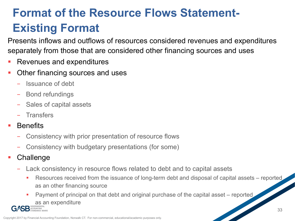### **Format of the Resource Flows Statement-Existing Format**

Presents inflows and outflows of resources considered revenues and expenditures separately from those that are considered other financing sources and uses

- § Revenues and expenditures
- § Other financing sources and uses
	- Issuance of debt
	- Bond refundings
	- Sales of capital assets
	- Transfers
- **Benefits** 
	- Consistency with prior presentation of resource flows
	- Consistency with budgetary presentations (for some)
- § Challenge
	- Lack consistency in resource flows related to debt and to capital assets
		- Resources received from the issuance of long-term debt and disposal of capital assets reported as an other financing source
		- Payment of principal on that debt and original purchase of the capital asset reported as an expenditure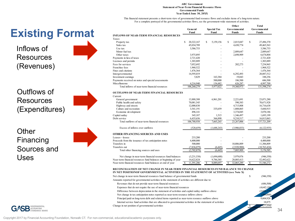#### **ABC Government Statement of Near-Term Financial Resource Flows Governmental Funds Year Ended June 30, 20XX**

For a complete portrayal of the governmental activities flows, see the government-wide statement of activities. This financial statement presents a short-term view of governmental fund resource flows and excludes items of a long-term nature.

|                                                                                    | General<br>Fund  | <b>Special Tax</b><br>Fund | Other<br><b>Governmental</b><br><b>Funds</b> | <b>Total</b><br>Governmental<br>Funds |
|------------------------------------------------------------------------------------|------------------|----------------------------|----------------------------------------------|---------------------------------------|
| <b>INFLOWS OF NEAR-TERM FINANCIAL RESOURCES</b>                                    |                  |                            |                                              |                                       |
| Taxes:                                                                             |                  |                            |                                              |                                       |
| Property tax                                                                       | S.<br>20,322,167 | S<br>5,159,156             | S<br>2,015,047                               | S<br>27,496,370                       |
| Sales tax                                                                          | 45,034,789       |                            | 4,430,774                                    | 49,465,563                            |
| Use tax                                                                            | 3,586,753        |                            |                                              | 3,586,753                             |
| Motor fuel tax                                                                     |                  |                            | 2,889,647                                    | 2,889,647                             |
| Other taxes                                                                        | 3,975,895        |                            | 2,698,909                                    | 6,674,804                             |
| Payments in lieu of taxes                                                          | 2,721,420        |                            |                                              | 2,721,420                             |
| Licenses and permits                                                               | 1,303,889        |                            |                                              | 1,303,889                             |
| Fees for services                                                                  | 7,052,692        |                            | 202,273                                      | 7,254,965                             |
| Franchise fees                                                                     | 1,968,522        |                            |                                              | 1,968,522                             |
| Fines and citations                                                                | 1,476,364        |                            |                                              | 1,476,364                             |
| Intergovernmental                                                                  | 14,595,019       |                            | 6,292,493                                    | 20,887,512                            |
| Investment earnings                                                                | 5,829            | 163,384                    | 19,043                                       | 188,256                               |
| Payments received on notes and special assessments                                 |                  | 500,000                    | 186,500                                      | 686,500                               |
| Miscellaneous                                                                      | 4,216,940        | 154,482                    | 626,287                                      | 4,997,709                             |
| Total inflows of near-term financial resources                                     | 106,260,279      | 5,977,022                  | 19,360,973                                   | 131,598,274                           |
| <b>OUTFLOWS OF NEAR-TERM FINANCIAL RESOURCES</b><br>Current:<br>General government | 13,888,388       | 6,961,201                  | 2,221,691                                    | 23,071,280                            |
| Public health and safety                                                           | 70,081,545       |                            | 590,383                                      | 70,671,928                            |
| Highway and streets                                                                | 12,000,830       |                            | 4,715,808                                    | 16,716,638                            |
| Culture and recreation                                                             | 3,541,191        | 335,659                    | 1,808,065                                    | 5,684,915                             |
| Economic development                                                               | 496,141          |                            | 3,374,045                                    | 3,870,186                             |
| Capital outlay                                                                     | 345,187          | 1,515                      | 1,346,497                                    | 1,693,199                             |
| Debt service                                                                       | 6,435,656        | 366,890                    | 9,210,517                                    | 16,013,063                            |
| Total outflows of near-term financial resources                                    | 106,788,938      | 7,665,265                  | 23,267,006                                   | 137,721,209                           |
| Excess of inflows over outflows                                                    | (528, 659)       | (1,688,243)                | (3.906, 033)                                 | (6,122,935)                           |
| OTHER FINANCING SOURCES AND USES                                                   |                  |                            |                                              |                                       |
| Leases-lessee                                                                      | 233,200          |                            |                                              | 233,200                               |
| Proceeds from the issuance of tax anticipation notes                               | 4,400,000        |                            |                                              | 4,400,000                             |
| Transfers in                                                                       | 500,000          |                            | 10,806,809                                   | 11,306,809                            |
| Transfers out                                                                      | (7,836,079)      | (6,445)                    | (2,920,900)                                  | (10,763,424)                          |
| Total other financing sources and uses                                             | (2,702,879)      | (6,445)                    | 7,885,909                                    | 5,176,585                             |
| Net change in near-term financial resources fund balances                          | (3,231,538)      | (1,694,688)                | 3,979,876                                    | (946,350)                             |
| Near-term financial resources fund balances at beginning of year                   | 14,622,824       | 9,784,385                  | 28,085,413                                   | 52,492,622                            |
| Near-term financial resources fund balances at end of year                         | 11,391,286<br>S  | 8.089.697<br>s             | 32.065.289<br>S                              | S<br>51.546.272                       |

#### **IN NET POSITIONOF GOVERNMENTAL ACTIVITIES IN THE STATEMENT OF ACTIVITIES (see Note X) RECONCILIATION OF NET CHANGE IN NEAR-TERM FINANCIAL RESOURCES FUND BALANCE TO CHANGE**

| Net change in near-term financial resources fund balance of governmental funds                                | (946,350)   |
|---------------------------------------------------------------------------------------------------------------|-------------|
| Amounts reported for governmental activities in the statement of activities are different due to:             |             |
| Revenues that do not provide near-term financial resources                                                    | (686,500)   |
| Expenses that do not require the use of near-term financial resources                                         | (4,642,130) |
| Difference between depreciation in the statement of activities and capital outlay outflows above              | (3.026.375) |
| Net change in tax anticipation notes reported as near-term resource inflows above                             | (400000)    |
| Principal paid on long-term debt and related items reported as near-term resource outflows above              | 9,604,926   |
| Internal service fund activities that are allocated to governmental activities in the statement of activities | 18.875      |
| Change in net position of governmental activities                                                             | 77,554)     |

**Existing Format** 

Inflows of Resources (Revenues)

Outflows of Resources (Expenditures)

**Other** Financing Sources and Uses



34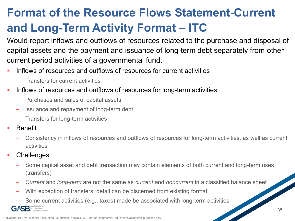### **Format of the Resource Flows Statement-Current and Long-Term Activity Format – ITC**

Would report inflows and outflows of resources related to the purchase and disposal of capital assets and the payment and issuance of long-term debt separately from other current period activities of a governmental fund.

- § Inflows of resources and outflows of resources for current activities
	- Transfers for current activities
- § Inflows of resources and outflows of resources for long-term activities
	- Purchases and sales of capital assets
	- Issuance and repayment of long-term debt
	- Transfers for long-term activities
- § Benefit
	- Consistency in inflows of resources and outflows of resources for long-term activities, as well as current activities
- **Challenges**

ACCOUNTING

- Some capital asset and debt transaction may contain elements of both current and long-term uses (transfers)
- *Current* and *long-term* are not the same as *current* and *noncurrent* in a classified balance sheet
- With exception of transfers, detail can be discerned from existing format
- Some current activities (e.g., taxes) made be associated with long-term activities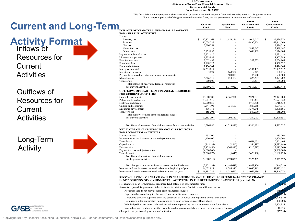#### **ABC Government Statement of Near-Term Financial Resource Flows Governmental Funds Year Ended June 30, 20XX**

For a complete portrayal of the governmental activities flows, see the government-wide statement of activities. This financial statement presents a short-term view of government fund resource flows and excludes items of a long-term nature.

| <b>Term</b>                                                       | General<br>Fund  | <b>Special Tax</b><br>Fund | Other<br><b>Governmental</b><br>Funds | <b>Total</b><br>Governmental<br>Funds |
|-------------------------------------------------------------------|------------------|----------------------------|---------------------------------------|---------------------------------------|
| <b>INFLOWS OF NEAR-TERM FINANCIAL RESOURCES</b>                   |                  |                            |                                       |                                       |
| <b>FOR CURRENT ACTIVITIES</b>                                     |                  |                            |                                       |                                       |
| Taxes:                                                            |                  |                            |                                       |                                       |
| Property tax                                                      | 20,322,167<br>S. | S<br>5,159,156             | S<br>2,015,047                        | \$<br>27,496,370                      |
| Sales tax                                                         | 45,034,789       |                            | 4,430,774                             | 49,465,563                            |
| Use tax                                                           | 3,586,753        |                            |                                       | 3,586,753                             |
| Motor fuel tax                                                    |                  |                            | 2,889,647                             | 2,889,647                             |
| Other taxes                                                       | 3,975,895        |                            | 2,698,909                             | 6,674,804                             |
| Payments in lieu of taxes                                         | 2,721,420        |                            |                                       | 2,721,420                             |
| Licenses and permits                                              | 1,303,889        |                            |                                       | 1,303,889                             |
| Fees for services                                                 | 7,052,692        |                            | 202,273                               | 7,254,965                             |
| Franchise fees                                                    | 1,968,522        |                            |                                       | 1,968,522                             |
| Fines and citations                                               | 1,476,364        |                            |                                       | 1,476,364                             |
| Intergovernmental                                                 | 14,595,019       |                            | 6,292,493                             | 20,887,512                            |
| Investment earnings                                               | 5,829            | 163,384                    | 19,043                                | 188,256                               |
| Payments received on notes and special assessments                |                  | 500,000                    | 186,500                               | 686,500                               |
| Miscellaneous                                                     | 4,216,940        | 154,482                    | 626,287                               | 4,997,709                             |
| Transfers in                                                      | 500,000          |                            | 155,204                               | 655,204                               |
| Total inflows of near-term financial resources                    |                  |                            |                                       |                                       |
| for current activities                                            | 106,760,279      | 5,977,022                  | 19,516,177                            | 132,253,478                           |
| <b>OUTFLOWS OF NEAR-TERM FINANCIAL RESOURCES</b>                  |                  |                            |                                       |                                       |
| <b>FOR CURRENT ACTIVITIES</b>                                     |                  |                            |                                       |                                       |
| General government                                                | 13,888,388       | 6,961,201                  | 2,221,691                             | 23,071,280                            |
| Public health and safety                                          | 70,081,545       |                            | 590,383                               | 70,671,928                            |
| Highway and streets                                               | 12,000,830       |                            | 4,715,808                             | 16,716,638                            |
| Culture and recreation                                            | 3,541,191        | 335,659                    | 1,808,065                             | 5,684,915                             |
| Economic development                                              | 496,141          |                            | 3,374,045                             | 3,870,186                             |
| Transfers out                                                     | 155,204          |                            | 500,000                               | 655,204                               |
| Total outflows of near-term financial resources                   |                  |                            |                                       |                                       |
| for current activities                                            | 100,163,299      | 7,296,860                  | 13,209,992                            | 120,670,151                           |
| Net flows of near-term financial resources for current activities | 6,596,980        | (1,319,838)                | 6,306,185                             | 11,583,327                            |
| NET FLOWS OF NEAR-TERM FINANCIAL RESOURCES                        |                  |                            |                                       |                                       |
| <b>FOR LONG-TERM ACTIVITIES</b>                                   |                  |                            |                                       |                                       |
| Leases-lessee                                                     | 233,200          |                            |                                       | 233,200                               |
| Proceeds from the issuance of tax anticipation notes              | 4,400,000        |                            |                                       | 4,400,000                             |
| Transfers in                                                      |                  |                            | 10,651,605                            | 10,651,605                            |
| Capital outlay                                                    | (345, 187)       | (1,515)                    | (1,346,497)                           | (1,693,199)                           |
| Debt service                                                      | (2,435,656)      | (366, 890)                 | (9,210,517)                           | (12,013,063)                          |
| Payment on tax anticipation notes                                 | (4,000,000)      |                            |                                       | (4,000,000)                           |
| Transfers out                                                     | (7,680,875)      | (6,445)                    | (2,420,900)                           | (10, 108, 220)                        |
| Net flows of near-term financial resources                        |                  |                            |                                       |                                       |
| for long-term activities                                          | (9,828,518)      | (374, 850)                 | (2,326,309)                           | (12,529,677)                          |
| Net change in near-term financial resources fund balances         | (3,231,538)      | (1,694,688)                | 3,979,876                             | (946, 350)                            |
| Near-term financial resources fund balances at beginning of year  | 14,622,824       | 9,784,385                  | 28,085,413                            | 52,492,622                            |
| Near-term financial resources fund balances at end of year        | 11.391.286<br>S  | S<br>8.089.697             | 32.065.289                            | S<br>51.546.272                       |
|                                                                   |                  |                            |                                       |                                       |

#### **IN NET POSITION OF GOVERNMENTAL ACTIVITIES IN THE STATEMENT OF ACTIVITIES (see Note X) RECONCILIATION OF NET CHANGE IN NEAR-TERM FINANCIAL RESOURCES FUND BALANCE TO CHANGE**

 $(97.554)$ 

\$ (946,350)

 $(686,500)$  $(4,642,130)$  $(026, 375)$  (400,000) 9,604,926 18,875

Net change in near-term financial resources fund balance of governmental funds

- Amounts reported for governmental activities in the statement of activities are different due to:
- Revenues that do not provide near-term financial resources
- Expenses that do not require the use of near-term financial resources
- Difference between depreciation in the statement of activities and capital outlay outflows above
- Net change in tax anticipation notes reported as near-term resource inflows above
- Principal paid on long-term debt and related items reported as near-term resource outflows above
- Internal service fund activities that are allocated to governmental activities in the statement of activities
- Change in net position of governmental activities

**Current and Long** 

**Activity Format** Inflows of Resources for Current **Activities** 

Outflows of Resources for **Current Activities** 

Long-Term **Activity** 

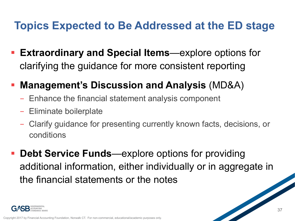### **Topics Expected to Be Addressed at the ED stage**

- § **Extraordinary and Special Items**—explore options for clarifying the guidance for more consistent reporting
- § **Management's Discussion and Analysis** (MD&A)
	- Enhance the financial statement analysis component
	- Eliminate boilerplate
	- Clarify guidance for presenting currently known facts, decisions, or conditions
- **Debt Service Funds—explore options for providing** additional information, either individually or in aggregate in the financial statements or the notes